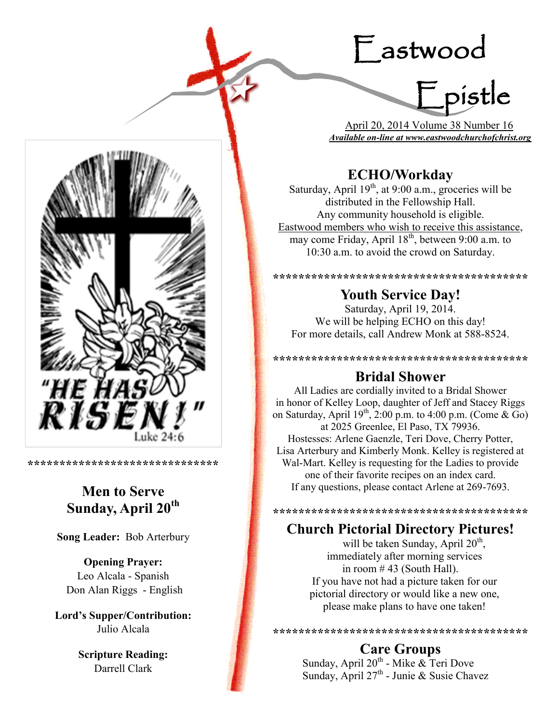# Eastwood



 April 20, 2014 Volume 38 Number 16 *Available on-line at www.eastwoodchurchofchrist.org*

# **ECHO/Workday**

Saturday, April  $19<sup>th</sup>$ , at 9:00 a.m., groceries will be distributed in the Fellowship Hall. Any community household is eligible. Eastwood members who wish to receive this assistance, may come Friday, April 18<sup>th</sup>, between 9:00 a.m. to 10:30 a.m. to avoid the crowd on Saturday.

**\*\*\*\*\*\*\*\*\*\*\*\*\*\*\*\*\*\*\*\*\*\*\*\*\*\*\*\*\*\*\*\*\*\*\*\*\*\*\*\* Youth Service Day!**

Saturday, April 19, 2014. We will be helping ECHO on this day! For more details, call Andrew Monk at 588-8524.

**\*\*\*\*\*\*\*\*\*\*\*\*\*\*\*\*\*\*\*\*\*\*\*\*\*\*\*\*\*\*\*\*\*\*\*\*\*\*\*\***

# **Bridal Shower**

All Ladies are cordially invited to a Bridal Shower in honor of Kelley Loop, daughter of Jeff and Stacey Riggs on Saturday, April  $19^{th}$ ,  $2:00$  p.m. to  $4:00$  p.m. (Come & Go) at 2025 Greenlee, El Paso, TX 79936. Hostesses: Arlene Gaenzle, Teri Dove, Cherry Potter, Lisa Arterbury and Kimberly Monk. Kelley is registered at Wal-Mart. Kelley is requesting for the Ladies to provide one of their favorite recipes on an index card. If any questions, please contact Arlene at 269-7693.

**\*\*\*\*\*\*\*\*\*\*\*\*\*\*\*\*\*\*\*\*\*\*\*\*\*\*\*\*\*\*\*\*\*\*\*\*\*\*\*\***

## **Church Pictorial Directory Pictures!**

will be taken Sunday, April  $20<sup>th</sup>$ , immediately after morning services in room # 43 (South Hall). If you have not had a picture taken for our pictorial directory or would like a new one, please make plans to have one taken!

**\*\*\*\*\*\*\*\*\*\*\*\*\*\*\*\*\*\*\*\*\*\*\*\*\*\*\*\*\*\*\*\*\*\*\*\*\*\*\*\***

# **Care Groups**

Sunday, April 20<sup>th</sup> - Mike & Teri Dove Sunday, April  $27^{\text{th}}$  - Junie & Susie Chavez



**\*\*\*\*\*\*\*\*\*\*\*\*\*\*\*\*\*\*\*\*\*\*\*\*\*\*\*\*\*\***

# **Men to Serve Sunday, April 20th**

**Song Leader:** Bob Arterbury

**Opening Prayer:** Leo Alcala - Spanish Don Alan Riggs - English

**Lord's Supper/Contribution:**  Julio Alcala

> **Scripture Reading:**  Darrell Clark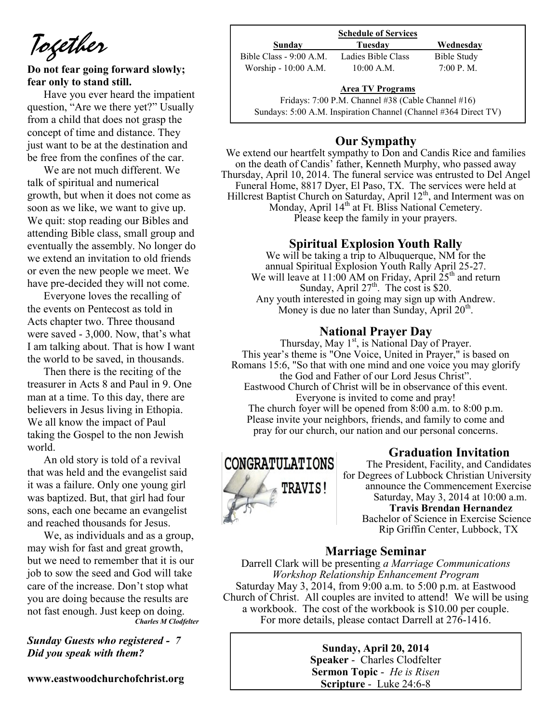*Together*

## **Do not fear going forward slowly; fear only to stand still.**

Have you ever heard the impatient question, "Are we there yet?" Usually from a child that does not grasp the concept of time and distance. They just want to be at the destination and be free from the confines of the car.

We are not much different. We talk of spiritual and numerical growth, but when it does not come as soon as we like, we want to give up. We quit: stop reading our Bibles and attending Bible class, small group and eventually the assembly. No longer do we extend an invitation to old friends or even the new people we meet. We have pre-decided they will not come.

Everyone loves the recalling of the events on Pentecost as told in Acts chapter two. Three thousand were saved - 3,000. Now, that's what I am talking about. That is how I want the world to be saved, in thousands.

Then there is the reciting of the treasurer in Acts 8 and Paul in 9. One man at a time. To this day, there are believers in Jesus living in Ethopia. We all know the impact of Paul taking the Gospel to the non Jewish world.

An old story is told of a revival that was held and the evangelist said it was a failure. Only one young girl was baptized. But, that girl had four sons, each one became an evangelist and reached thousands for Jesus.

We, as individuals and as a group, may wish for fast and great growth, but we need to remember that it is our job to sow the seed and God will take care of the increase. Don't stop what you are doing because the results are not fast enough. Just keep on doing. *Charles M Clodfelter*

*Sunday Guests who registered - 7 Did you speak with them?*

**www.eastwoodchurchofchrist.org**

| <b>Schedule of Services</b> |                    |                    |
|-----------------------------|--------------------|--------------------|
| Sunday                      | Tuesdav            | Wednesday          |
| Bible Class - 9:00 A.M.     | Ladies Bible Class | <b>Bible Study</b> |
| Worship - 10:00 A.M.        | $10:00$ A.M.       | 7:00 P. M.         |

## **Area TV Programs**

Area TV Programs<br>Fridays: 7:00 P.M. Channel #38 (Cable Channel #16) Sundays: 5:00 A.M. Inspiration Channel (Channel #364 Direct TV)

## **Our Sympathy**

We extend our heartfelt sympathy to Don and Candis Rice and families on the death of Candis' father, Kenneth Murphy, who passed away Thursday, April 10, 2014. The funeral service was entrusted to Del Angel Funeral Home, 8817 Dyer, El Paso, TX. The services were held at Hillcrest Baptist Church on Saturday, April 12<sup>th</sup>, and Interment was on Monday, April 14<sup>th</sup> at Ft. Bliss National Cemetery. Please keep the family in your prayers.

## **Spiritual Explosion Youth Rally**

We will be taking a trip to Albuquerque, NM for the annual Spiritual Explosion Youth Rally April 25-27. We will leave at  $11:00$  AM on Friday, April  $25<sup>th</sup>$  and return Sunday, April  $27<sup>th</sup>$ . The cost is \$20. Any youth interested in going may sign up with Andrew. Money is due no later than Sunday, April  $20^{\text{th}}$ .

## **National Prayer Day**

Thursday, May  $1<sup>st</sup>$ , is National Day of Prayer. This year's theme is "One Voice, United in Prayer," is based on Romans 15:6, "So that with one mind and one voice you may glorify the God and Father of our Lord Jesus Christ". Eastwood Church of Christ will be in observance of this event. Everyone is invited to come and pray! The church foyer will be opened from 8:00 a.m. to 8:00 p.m. Please invite your neighbors, friends, and family to come and pray for our church, our nation and our personal concerns.



## **Graduation Invitation**

The President, Facility, and Candidates for Degrees of Lubbock Christian University announce the Commencement Exercise Saturday, May 3, 2014 at 10:00 a.m.  **Travis Brendan Hernandez** Bachelor of Science in Exercise Science

Rip Griffin Center, Lubbock, TX

## **Marriage Seminar**

Darrell Clark will be presenting *a Marriage Communications Workshop Relationship Enhancement Program*  Saturday May 3, 2014, from 9:00 a.m. to 5:00 p.m. at Eastwood Church of Christ. All couples are invited to attend! We will be using a workbook. The cost of the workbook is \$10.00 per couple. For more details, please contact Darrell at 276-1416.

> **Sunday, April 20, 2014 Speaker** - Charles Clodfelter **Sermon Topic** - *He is Risen*  **Scripture** - Luke 24:6-8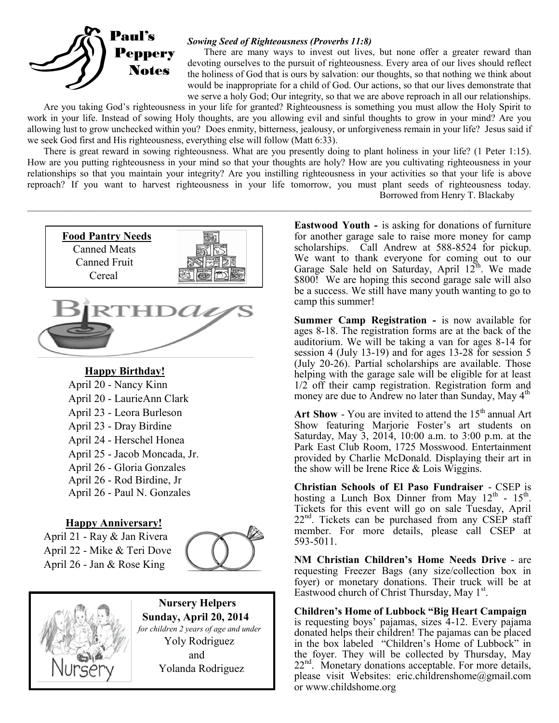

## *Sowing Seed of Righteousness (Proverbs 11:8)*

There are many ways to invest out lives, but none offer a greater reward than devoting ourselves to the pursuit of righteousness. Every area of our lives should reflect the holiness of God that is ours by salvation: our thoughts, so that nothing we think about would be inappropriate for a child of God. Our actions, so that our lives demonstrate that we serve a holy God; Our integrity, so that we are above reproach in all our relationships.

Are you taking God's righteousness in your life for granted? Righteousness is something you must allow the Holy Spirit to work in your life. Instead of sowing Holy thoughts, are you allowing evil and sinful thoughts to grow in your mind? Are you allowing lust to grow unchecked within you? Does enmity, bitterness, jealousy, or unforgiveness remain in your life? Jesus said if we seek God first and His righteousness, everything else will follow (Matt 6:33).

There is great reward in sowing righteousness. What are you presently doing to plant holiness in your life? (1 Peter 1:15). How are you putting righteousness in your mind so that your thoughts are holy? How are you cultivating righteousness in your relationships so that you maintain your integrity? Are you instilling righteousness in your activities so that your life is above reproach? If you want to harvest righteousness in your life tomorrow, you must plant seeds of righteousness today. Borrowed from Henry T. Blackaby

 $\mathcal{L}_\mathcal{L} = \mathcal{L}_\mathcal{L} = \mathcal{L}_\mathcal{L} = \mathcal{L}_\mathcal{L} = \mathcal{L}_\mathcal{L} = \mathcal{L}_\mathcal{L} = \mathcal{L}_\mathcal{L} = \mathcal{L}_\mathcal{L} = \mathcal{L}_\mathcal{L} = \mathcal{L}_\mathcal{L} = \mathcal{L}_\mathcal{L} = \mathcal{L}_\mathcal{L} = \mathcal{L}_\mathcal{L} = \mathcal{L}_\mathcal{L} = \mathcal{L}_\mathcal{L} = \mathcal{L}_\mathcal{L} = \mathcal{L}_\mathcal{L}$ 



## **Happy Birthday!**

April 20 - Nancy Kinn April 20 - LaurieAnn Clark April 23 - Leora Burleson April 23 - Dray Birdine April 24 - Herschel Honea April 25 - Jacob Moncada, Jr. April 26 - Gloria Gonzales April 26 - Rod Birdine, Jr April 26 - Paul N. Gonzales

## **Happy Anniversary!**

April 21 - Ray & Jan Rivera April 22 - Mike & Teri Dove April 26 - Jan & Rose King





 **Nursery Helpers Sunday, April 20, 2014**   *for children 2 years of age and under*  Yoly Rodriguez and Yolanda Rodriguez

**Eastwood Youth -** is asking for donations of furniture for another garage sale to raise more money for camp scholarships. Call Andrew at 588-8524 for pickup. We want to thank everyone for coming out to our Garage Sale held on Saturday, April  $12^{th}$ . We made \$800! We are hoping this second garage sale will also be a success. We still have many youth wanting to go to camp this summer!

**Summer Camp Registration -** is now available for ages 8-18. The registration forms are at the back of the auditorium. We will be taking a van for ages 8-14 for session 4 (July 13-19) and for ages 13-28 for session 5 (July 20-26). Partial scholarships are available. Those helping with the garage sale will be eligible for at least 1/2 off their camp registration. Registration form and money are due to Andrew no later than Sunday, May 4<sup>th</sup>

Art Show  $-$  You are invited to attend the  $15<sup>th</sup>$  annual Art Show featuring Marjorie Foster's art students on Saturday, May 3, 2014, 10:00 a.m. to 3:00 p.m. at the Park East Club Room, 1725 Mosswood. Entertainment provided by Charlie McDonald. Displaying their art in the show will be Irene Rice & Lois Wiggins.

**Christian Schools of El Paso Fundraiser** - CSEP is hosting a Lunch Box Dinner from May  $12^{th}$  -  $15^{th}$ . Tickets for this event will go on sale Tuesday, April  $22<sup>nd</sup>$ . Tickets can be purchased from any CSEP staff member. For more details, please call CSEP at 593-5011.

**NM Christian Children's Home Needs Drive** - are requesting Freezer Bags (any size/collection box in foyer) or monetary donations. Their truck will be at Eastwood church of Christ Thursday, May 1<sup>st</sup>.

**Children's Home of Lubbock "Big Heart Campaign**  is requesting boys' pajamas, sizes 4-12. Every pajama donated helps their children! The pajamas can be placed in the box labeled "Children's Home of Lubbock" in the foyer. They will be collected by Thursday, May 22<sup>nd</sup>. Monetary donations acceptable. For more details, please visit Websites: eric.childrenshome@gmail.com or www.childshome.org